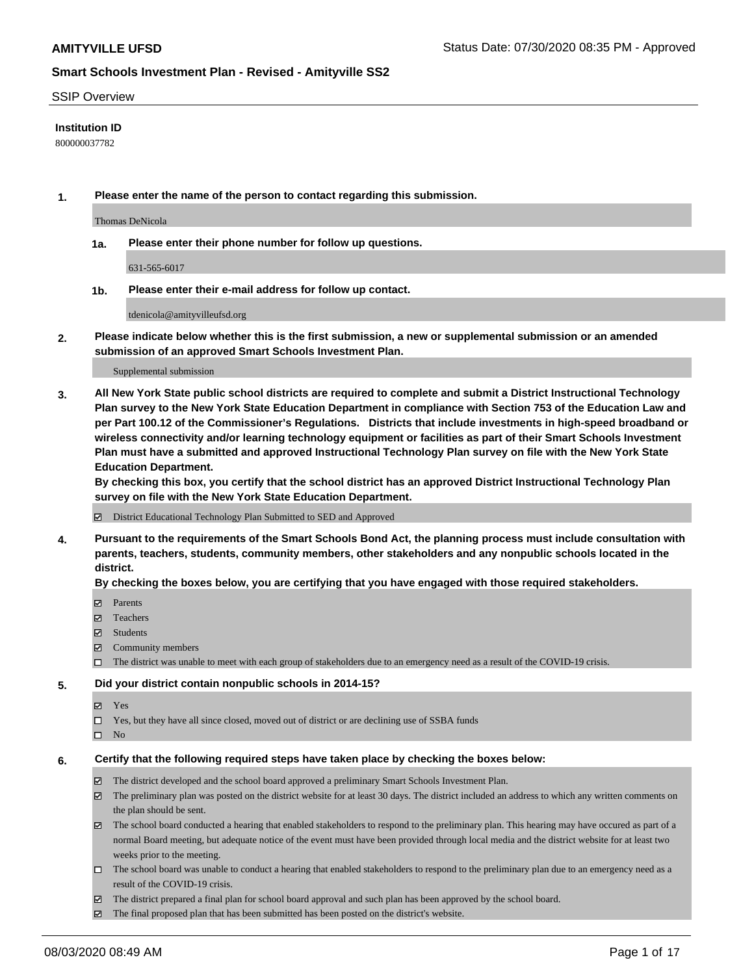#### SSIP Overview

### **Institution ID**

800000037782

**1. Please enter the name of the person to contact regarding this submission.**

Thomas DeNicola

**1a. Please enter their phone number for follow up questions.**

631-565-6017

**1b. Please enter their e-mail address for follow up contact.**

tdenicola@amityvilleufsd.org

**2. Please indicate below whether this is the first submission, a new or supplemental submission or an amended submission of an approved Smart Schools Investment Plan.**

#### Supplemental submission

**3. All New York State public school districts are required to complete and submit a District Instructional Technology Plan survey to the New York State Education Department in compliance with Section 753 of the Education Law and per Part 100.12 of the Commissioner's Regulations. Districts that include investments in high-speed broadband or wireless connectivity and/or learning technology equipment or facilities as part of their Smart Schools Investment Plan must have a submitted and approved Instructional Technology Plan survey on file with the New York State Education Department.** 

**By checking this box, you certify that the school district has an approved District Instructional Technology Plan survey on file with the New York State Education Department.**

District Educational Technology Plan Submitted to SED and Approved

**4. Pursuant to the requirements of the Smart Schools Bond Act, the planning process must include consultation with parents, teachers, students, community members, other stakeholders and any nonpublic schools located in the district.** 

#### **By checking the boxes below, you are certifying that you have engaged with those required stakeholders.**

- **□** Parents
- Teachers
- Students
- $\boxtimes$  Community members
- The district was unable to meet with each group of stakeholders due to an emergency need as a result of the COVID-19 crisis.

#### **5. Did your district contain nonpublic schools in 2014-15?**

- **冈** Yes
- Yes, but they have all since closed, moved out of district or are declining use of SSBA funds
- $\square$  No

#### **6. Certify that the following required steps have taken place by checking the boxes below:**

- The district developed and the school board approved a preliminary Smart Schools Investment Plan.
- $\boxtimes$  The preliminary plan was posted on the district website for at least 30 days. The district included an address to which any written comments on the plan should be sent.
- $\boxtimes$  The school board conducted a hearing that enabled stakeholders to respond to the preliminary plan. This hearing may have occured as part of a normal Board meeting, but adequate notice of the event must have been provided through local media and the district website for at least two weeks prior to the meeting.
- The school board was unable to conduct a hearing that enabled stakeholders to respond to the preliminary plan due to an emergency need as a result of the COVID-19 crisis.
- The district prepared a final plan for school board approval and such plan has been approved by the school board.
- $\boxtimes$  The final proposed plan that has been submitted has been posted on the district's website.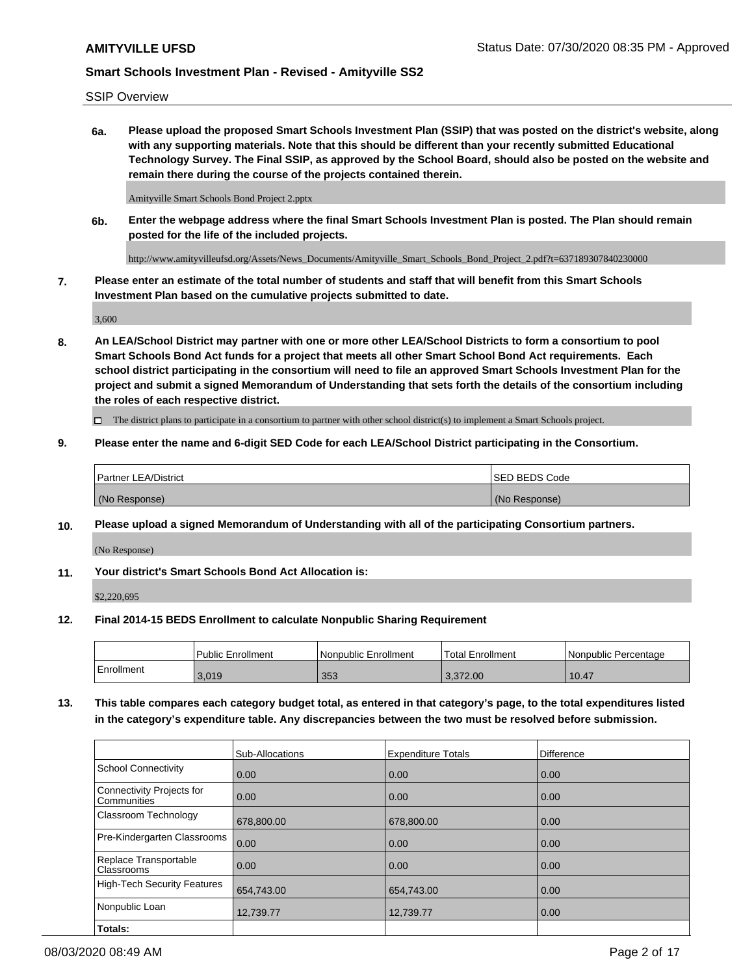SSIP Overview

**6a. Please upload the proposed Smart Schools Investment Plan (SSIP) that was posted on the district's website, along with any supporting materials. Note that this should be different than your recently submitted Educational Technology Survey. The Final SSIP, as approved by the School Board, should also be posted on the website and remain there during the course of the projects contained therein.**

Amityville Smart Schools Bond Project 2.pptx

**6b. Enter the webpage address where the final Smart Schools Investment Plan is posted. The Plan should remain posted for the life of the included projects.**

http://www.amityvilleufsd.org/Assets/News\_Documents/Amityville\_Smart\_Schools\_Bond\_Project\_2.pdf?t=637189307840230000

**7. Please enter an estimate of the total number of students and staff that will benefit from this Smart Schools Investment Plan based on the cumulative projects submitted to date.**

3,600

**8. An LEA/School District may partner with one or more other LEA/School Districts to form a consortium to pool Smart Schools Bond Act funds for a project that meets all other Smart School Bond Act requirements. Each school district participating in the consortium will need to file an approved Smart Schools Investment Plan for the project and submit a signed Memorandum of Understanding that sets forth the details of the consortium including the roles of each respective district.**

 $\Box$  The district plans to participate in a consortium to partner with other school district(s) to implement a Smart Schools project.

### **9. Please enter the name and 6-digit SED Code for each LEA/School District participating in the Consortium.**

| Partner LEA/District | <b>ISED BEDS Code</b> |
|----------------------|-----------------------|
| (No Response)        | (No Response)         |

### **10. Please upload a signed Memorandum of Understanding with all of the participating Consortium partners.**

(No Response)

**11. Your district's Smart Schools Bond Act Allocation is:**

\$2,220,695

#### **12. Final 2014-15 BEDS Enrollment to calculate Nonpublic Sharing Requirement**

|            | Public Enrollment | Nonpublic Enrollment | Total Enrollment | I Nonpublic Percentage |
|------------|-------------------|----------------------|------------------|------------------------|
| Enrollment | 3,019             | 353                  | 3.372.00         | 10.47                  |

**13. This table compares each category budget total, as entered in that category's page, to the total expenditures listed in the category's expenditure table. Any discrepancies between the two must be resolved before submission.**

|                                          | Sub-Allocations | <b>Expenditure Totals</b> | <b>Difference</b> |
|------------------------------------------|-----------------|---------------------------|-------------------|
| <b>School Connectivity</b>               | 0.00            | 0.00                      | 0.00              |
| Connectivity Projects for<br>Communities | 0.00            | 0.00                      | 0.00              |
| Classroom Technology                     | 678,800.00      | 678,800.00                | 0.00              |
| Pre-Kindergarten Classrooms              | 0.00            | 0.00                      | 0.00              |
| Replace Transportable<br>Classrooms      | 0.00            | 0.00                      | 0.00              |
| <b>High-Tech Security Features</b>       | 654,743.00      | 654,743.00                | 0.00              |
| Nonpublic Loan                           | 12,739.77       | 12,739.77                 | 0.00              |
| Totals:                                  |                 |                           |                   |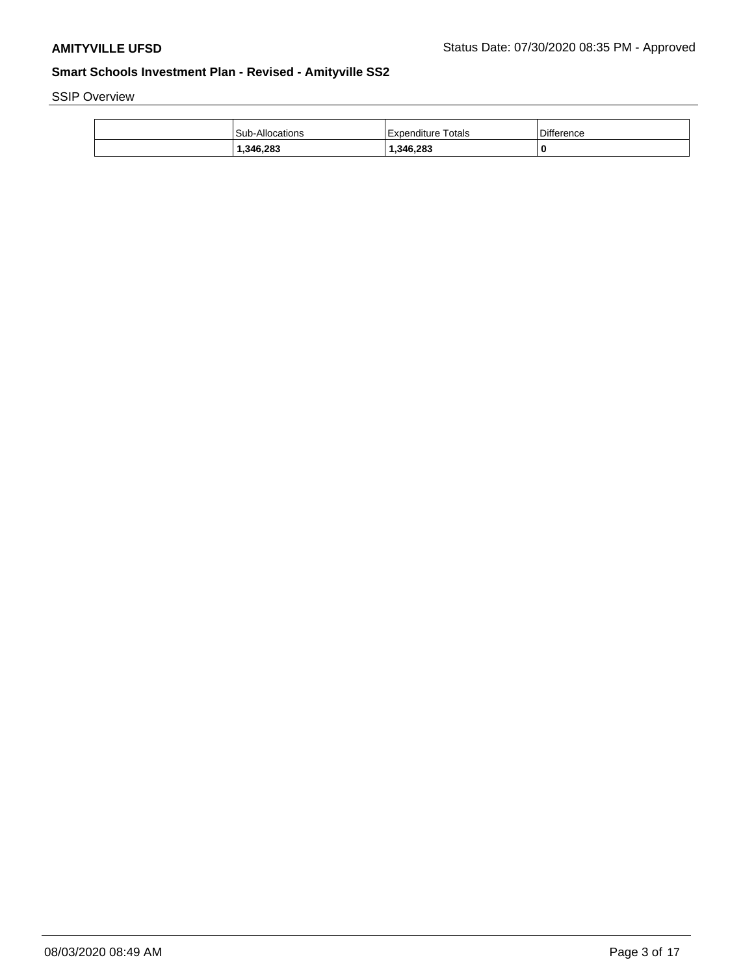SSIP Overview

| Sub-Allocations | Totals<br>Expenditure | Difference |
|-----------------|-----------------------|------------|
| 1,346,283       | 1,346,283             | 0          |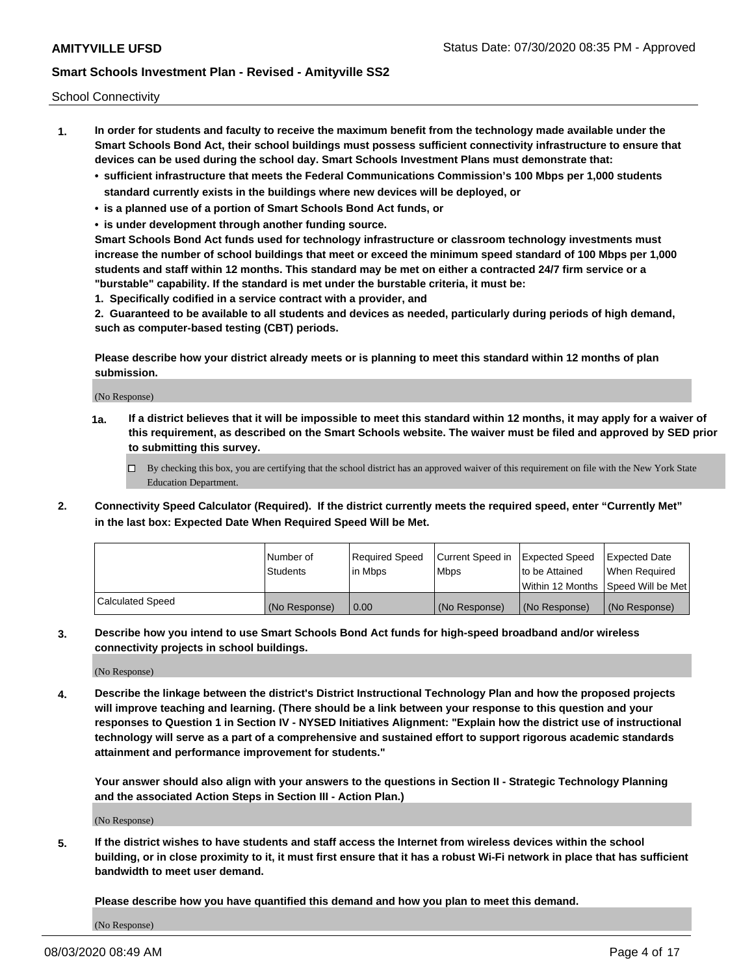School Connectivity

- **1. In order for students and faculty to receive the maximum benefit from the technology made available under the Smart Schools Bond Act, their school buildings must possess sufficient connectivity infrastructure to ensure that devices can be used during the school day. Smart Schools Investment Plans must demonstrate that:**
	- **• sufficient infrastructure that meets the Federal Communications Commission's 100 Mbps per 1,000 students standard currently exists in the buildings where new devices will be deployed, or**
	- **• is a planned use of a portion of Smart Schools Bond Act funds, or**
	- **• is under development through another funding source.**

**Smart Schools Bond Act funds used for technology infrastructure or classroom technology investments must increase the number of school buildings that meet or exceed the minimum speed standard of 100 Mbps per 1,000 students and staff within 12 months. This standard may be met on either a contracted 24/7 firm service or a "burstable" capability. If the standard is met under the burstable criteria, it must be:**

**1. Specifically codified in a service contract with a provider, and**

**2. Guaranteed to be available to all students and devices as needed, particularly during periods of high demand, such as computer-based testing (CBT) periods.**

**Please describe how your district already meets or is planning to meet this standard within 12 months of plan submission.**

(No Response)

**1a. If a district believes that it will be impossible to meet this standard within 12 months, it may apply for a waiver of this requirement, as described on the Smart Schools website. The waiver must be filed and approved by SED prior to submitting this survey.**

 $\Box$  By checking this box, you are certifying that the school district has an approved waiver of this requirement on file with the New York State Education Department.

**2. Connectivity Speed Calculator (Required). If the district currently meets the required speed, enter "Currently Met" in the last box: Expected Date When Required Speed Will be Met.**

|                  | l Number of     | Required Speed | Current Speed in | Expected Speed  | Expected Date                           |
|------------------|-----------------|----------------|------------------|-----------------|-----------------------------------------|
|                  | <b>Students</b> | In Mbps        | l Mbps           | to be Attained  | When Required                           |
|                  |                 |                |                  |                 | l Within 12 Months ISpeed Will be Met l |
| Calculated Speed | (No Response)   | 0.00           | (No Response)    | l (No Response) | l (No Response)                         |

**3. Describe how you intend to use Smart Schools Bond Act funds for high-speed broadband and/or wireless connectivity projects in school buildings.**

(No Response)

**4. Describe the linkage between the district's District Instructional Technology Plan and how the proposed projects will improve teaching and learning. (There should be a link between your response to this question and your responses to Question 1 in Section IV - NYSED Initiatives Alignment: "Explain how the district use of instructional technology will serve as a part of a comprehensive and sustained effort to support rigorous academic standards attainment and performance improvement for students."** 

**Your answer should also align with your answers to the questions in Section II - Strategic Technology Planning and the associated Action Steps in Section III - Action Plan.)**

(No Response)

**5. If the district wishes to have students and staff access the Internet from wireless devices within the school building, or in close proximity to it, it must first ensure that it has a robust Wi-Fi network in place that has sufficient bandwidth to meet user demand.**

**Please describe how you have quantified this demand and how you plan to meet this demand.**

(No Response)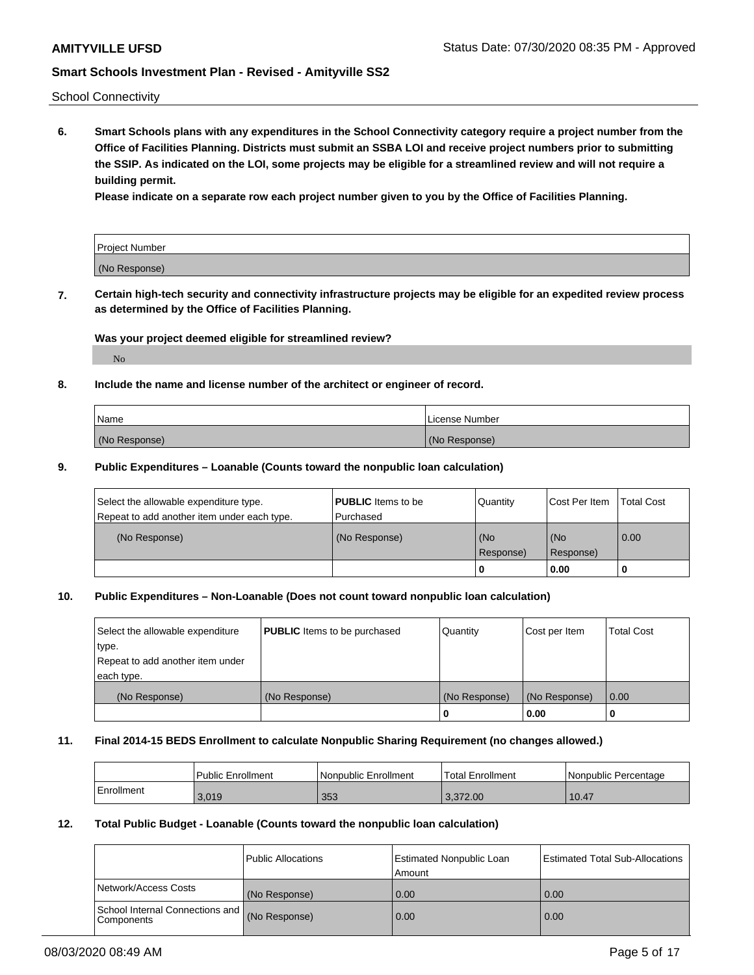School Connectivity

**6. Smart Schools plans with any expenditures in the School Connectivity category require a project number from the Office of Facilities Planning. Districts must submit an SSBA LOI and receive project numbers prior to submitting the SSIP. As indicated on the LOI, some projects may be eligible for a streamlined review and will not require a building permit.**

**Please indicate on a separate row each project number given to you by the Office of Facilities Planning.**

| Project Number |  |
|----------------|--|
| (No Response)  |  |

**7. Certain high-tech security and connectivity infrastructure projects may be eligible for an expedited review process as determined by the Office of Facilities Planning.**

## **Was your project deemed eligible for streamlined review?**

No

## **8. Include the name and license number of the architect or engineer of record.**

| Name          | License Number |
|---------------|----------------|
| (No Response) | (No Response)  |

### **9. Public Expenditures – Loanable (Counts toward the nonpublic loan calculation)**

| Select the allowable expenditure type.<br>Repeat to add another item under each type. | <b>PUBLIC</b> Items to be<br>l Purchased | Quantity           | Cost Per Item    | <b>Total Cost</b> |
|---------------------------------------------------------------------------------------|------------------------------------------|--------------------|------------------|-------------------|
| (No Response)                                                                         | (No Response)                            | l (No<br>Response) | (No<br>Response) | $\overline{0.00}$ |
|                                                                                       |                                          | O                  | 0.00             |                   |

### **10. Public Expenditures – Non-Loanable (Does not count toward nonpublic loan calculation)**

| Select the allowable expenditure<br>type.<br>Repeat to add another item under<br>each type. | <b>PUBLIC</b> Items to be purchased | Quantity      | Cost per Item | <b>Total Cost</b> |
|---------------------------------------------------------------------------------------------|-------------------------------------|---------------|---------------|-------------------|
| (No Response)                                                                               | (No Response)                       | (No Response) | (No Response) | 0.00              |
|                                                                                             |                                     |               | 0.00          |                   |

#### **11. Final 2014-15 BEDS Enrollment to calculate Nonpublic Sharing Requirement (no changes allowed.)**

|            | Public Enrollment | l Nonpublic Enrollment | <b>Total Enrollment</b> | Nonpublic Percentage |
|------------|-------------------|------------------------|-------------------------|----------------------|
| Enrollment | 3,019             | 353                    | 3.372.00                | 10.47                |

### **12. Total Public Budget - Loanable (Counts toward the nonpublic loan calculation)**

|                                               | Public Allocations | <b>Estimated Nonpublic Loan</b><br>Amount | Estimated Total Sub-Allocations |
|-----------------------------------------------|--------------------|-------------------------------------------|---------------------------------|
| Network/Access Costs                          | (No Response)      | 0.00                                      | 0.00                            |
| School Internal Connections and<br>Components | (No Response)      | 0.00                                      | 0.00                            |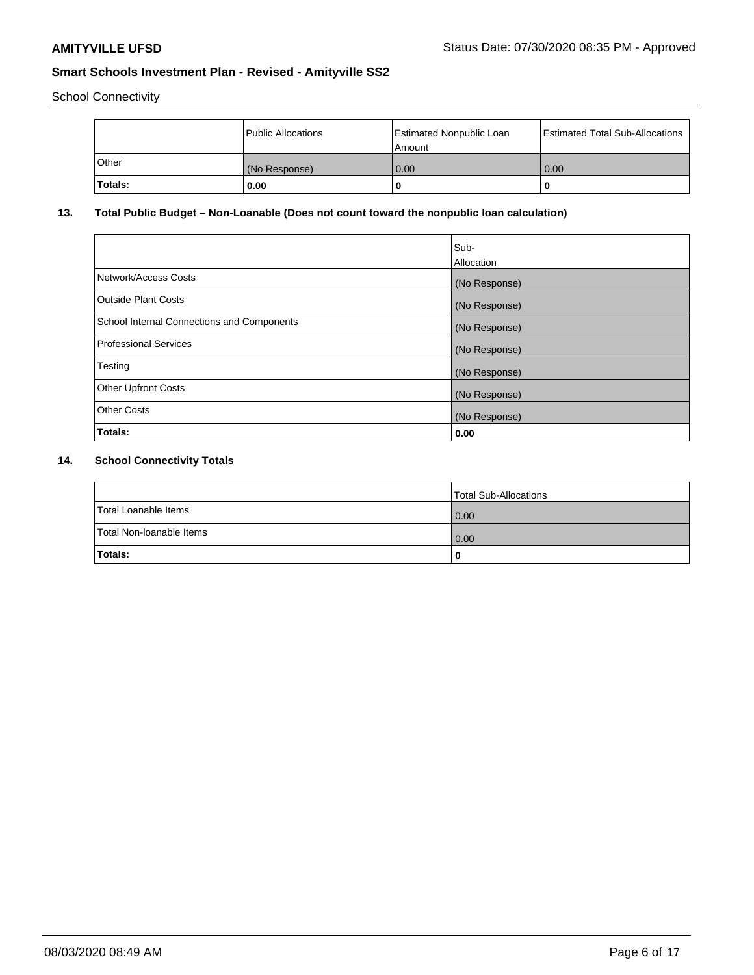School Connectivity

|         | Public Allocations | <b>Estimated Nonpublic Loan</b><br>l Amount | <b>Estimated Total Sub-Allocations</b> |
|---------|--------------------|---------------------------------------------|----------------------------------------|
| l Other | (No Response)      | 0.00                                        | 0.00                                   |
| Totals: | 0.00               | 0                                           |                                        |

# **13. Total Public Budget – Non-Loanable (Does not count toward the nonpublic loan calculation)**

|                                                   | Sub-<br>Allocation |
|---------------------------------------------------|--------------------|
| Network/Access Costs                              | (No Response)      |
| Outside Plant Costs                               | (No Response)      |
| <b>School Internal Connections and Components</b> | (No Response)      |
| Professional Services                             | (No Response)      |
| Testing                                           | (No Response)      |
| <b>Other Upfront Costs</b>                        | (No Response)      |
| <b>Other Costs</b>                                | (No Response)      |
| Totals:                                           | 0.00               |

# **14. School Connectivity Totals**

|                          | Total Sub-Allocations |
|--------------------------|-----------------------|
| Total Loanable Items     | 0.00                  |
| Total Non-Ioanable Items | 0.00                  |
| Totals:                  |                       |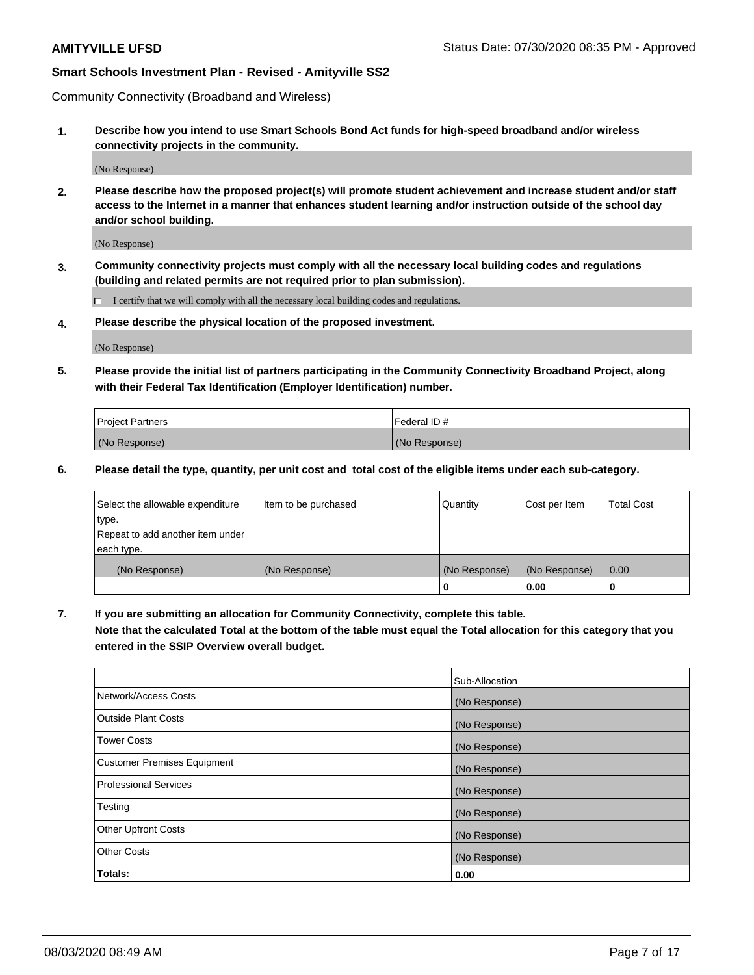Community Connectivity (Broadband and Wireless)

**1. Describe how you intend to use Smart Schools Bond Act funds for high-speed broadband and/or wireless connectivity projects in the community.**

(No Response)

**2. Please describe how the proposed project(s) will promote student achievement and increase student and/or staff access to the Internet in a manner that enhances student learning and/or instruction outside of the school day and/or school building.**

(No Response)

**3. Community connectivity projects must comply with all the necessary local building codes and regulations (building and related permits are not required prior to plan submission).**

 $\Box$  I certify that we will comply with all the necessary local building codes and regulations.

**4. Please describe the physical location of the proposed investment.**

(No Response)

**5. Please provide the initial list of partners participating in the Community Connectivity Broadband Project, along with their Federal Tax Identification (Employer Identification) number.**

| <b>Project Partners</b> | l Federal ID # |
|-------------------------|----------------|
| (No Response)           | (No Response)  |

**6. Please detail the type, quantity, per unit cost and total cost of the eligible items under each sub-category.**

| Select the allowable expenditure | Item to be purchased | Quantity      | Cost per Item | <b>Total Cost</b> |
|----------------------------------|----------------------|---------------|---------------|-------------------|
| type.                            |                      |               |               |                   |
| Repeat to add another item under |                      |               |               |                   |
| each type.                       |                      |               |               |                   |
| (No Response)                    | (No Response)        | (No Response) | (No Response) | 0.00              |
|                                  |                      | o             | 0.00          |                   |

**7. If you are submitting an allocation for Community Connectivity, complete this table.**

**Note that the calculated Total at the bottom of the table must equal the Total allocation for this category that you entered in the SSIP Overview overall budget.**

|                                    | Sub-Allocation |
|------------------------------------|----------------|
| Network/Access Costs               | (No Response)  |
| Outside Plant Costs                | (No Response)  |
| <b>Tower Costs</b>                 | (No Response)  |
| <b>Customer Premises Equipment</b> | (No Response)  |
| <b>Professional Services</b>       | (No Response)  |
| Testing                            | (No Response)  |
| <b>Other Upfront Costs</b>         | (No Response)  |
| <b>Other Costs</b>                 | (No Response)  |
| Totals:                            | 0.00           |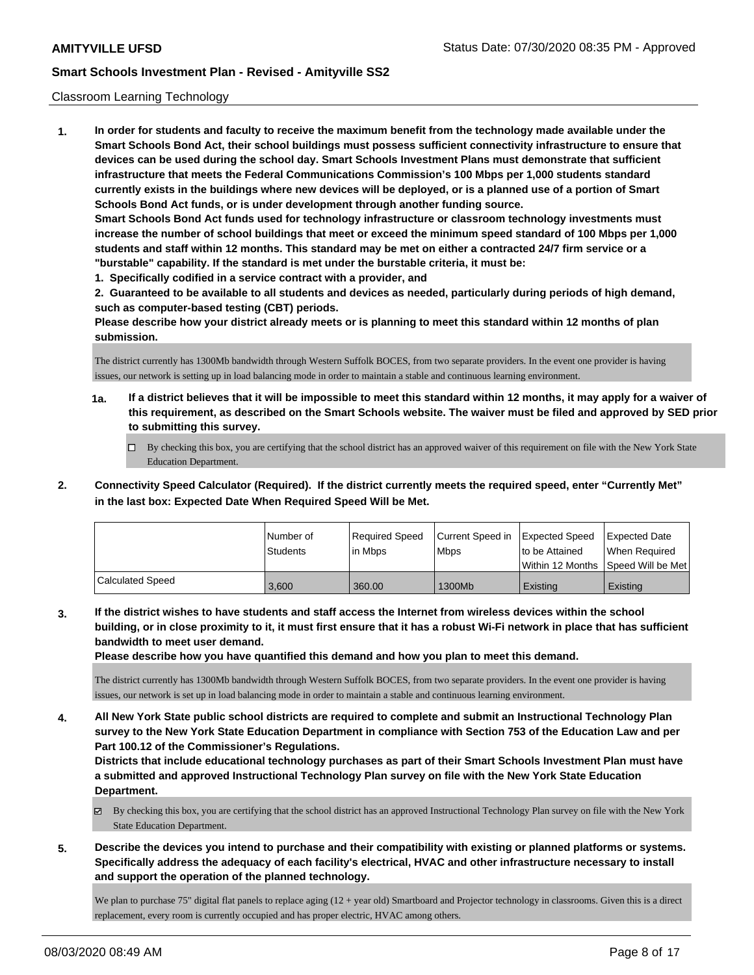#### Classroom Learning Technology

**1. In order for students and faculty to receive the maximum benefit from the technology made available under the Smart Schools Bond Act, their school buildings must possess sufficient connectivity infrastructure to ensure that devices can be used during the school day. Smart Schools Investment Plans must demonstrate that sufficient infrastructure that meets the Federal Communications Commission's 100 Mbps per 1,000 students standard currently exists in the buildings where new devices will be deployed, or is a planned use of a portion of Smart Schools Bond Act funds, or is under development through another funding source. Smart Schools Bond Act funds used for technology infrastructure or classroom technology investments must increase the number of school buildings that meet or exceed the minimum speed standard of 100 Mbps per 1,000 students and staff within 12 months. This standard may be met on either a contracted 24/7 firm service or a "burstable" capability. If the standard is met under the burstable criteria, it must be:**

**1. Specifically codified in a service contract with a provider, and**

**2. Guaranteed to be available to all students and devices as needed, particularly during periods of high demand, such as computer-based testing (CBT) periods.**

**Please describe how your district already meets or is planning to meet this standard within 12 months of plan submission.**

The district currently has 1300Mb bandwidth through Western Suffolk BOCES, from two separate providers. In the event one provider is having issues, our network is setting up in load balancing mode in order to maintain a stable and continuous learning environment.

- **1a. If a district believes that it will be impossible to meet this standard within 12 months, it may apply for a waiver of this requirement, as described on the Smart Schools website. The waiver must be filed and approved by SED prior to submitting this survey.**
	- By checking this box, you are certifying that the school district has an approved waiver of this requirement on file with the New York State Education Department.
- **2. Connectivity Speed Calculator (Required). If the district currently meets the required speed, enter "Currently Met" in the last box: Expected Date When Required Speed Will be Met.**

|                  | l Number of<br>Students | Required Speed<br>l in Mbps | Current Speed in<br>l Mbps | <b>Expected Speed</b><br>to be Attained | <b>Expected Date</b><br>When Required<br>Within 12 Months ISpeed Will be Met l |
|------------------|-------------------------|-----------------------------|----------------------------|-----------------------------------------|--------------------------------------------------------------------------------|
| Calculated Speed | 3.600                   | 360.00                      | 1300Mb                     | Existing                                | Existing                                                                       |

**3. If the district wishes to have students and staff access the Internet from wireless devices within the school building, or in close proximity to it, it must first ensure that it has a robust Wi-Fi network in place that has sufficient bandwidth to meet user demand.**

**Please describe how you have quantified this demand and how you plan to meet this demand.**

The district currently has 1300Mb bandwidth through Western Suffolk BOCES, from two separate providers. In the event one provider is having issues, our network is set up in load balancing mode in order to maintain a stable and continuous learning environment.

**4. All New York State public school districts are required to complete and submit an Instructional Technology Plan survey to the New York State Education Department in compliance with Section 753 of the Education Law and per Part 100.12 of the Commissioner's Regulations.**

**Districts that include educational technology purchases as part of their Smart Schools Investment Plan must have a submitted and approved Instructional Technology Plan survey on file with the New York State Education Department.**

- By checking this box, you are certifying that the school district has an approved Instructional Technology Plan survey on file with the New York State Education Department.
- **5. Describe the devices you intend to purchase and their compatibility with existing or planned platforms or systems. Specifically address the adequacy of each facility's electrical, HVAC and other infrastructure necessary to install and support the operation of the planned technology.**

We plan to purchase 75" digital flat panels to replace aging (12 + year old) Smartboard and Projector technology in classrooms. Given this is a direct replacement, every room is currently occupied and has proper electric, HVAC among others.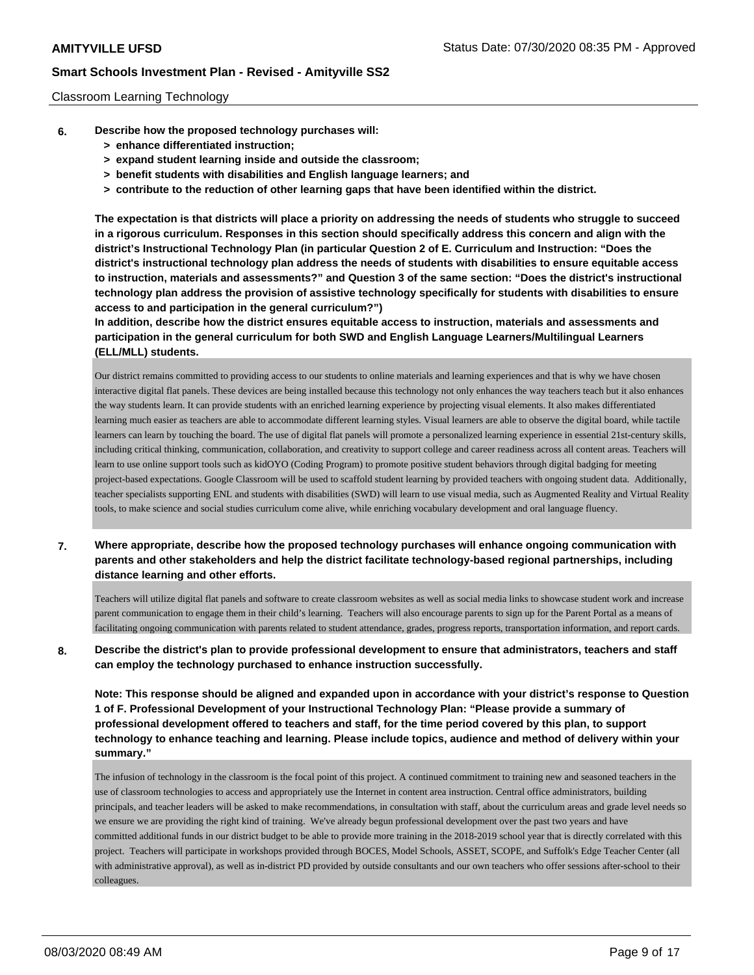### Classroom Learning Technology

- **6. Describe how the proposed technology purchases will:**
	- **> enhance differentiated instruction;**
	- **> expand student learning inside and outside the classroom;**
	- **> benefit students with disabilities and English language learners; and**
	- **> contribute to the reduction of other learning gaps that have been identified within the district.**

**The expectation is that districts will place a priority on addressing the needs of students who struggle to succeed in a rigorous curriculum. Responses in this section should specifically address this concern and align with the district's Instructional Technology Plan (in particular Question 2 of E. Curriculum and Instruction: "Does the district's instructional technology plan address the needs of students with disabilities to ensure equitable access to instruction, materials and assessments?" and Question 3 of the same section: "Does the district's instructional technology plan address the provision of assistive technology specifically for students with disabilities to ensure access to and participation in the general curriculum?")**

**In addition, describe how the district ensures equitable access to instruction, materials and assessments and participation in the general curriculum for both SWD and English Language Learners/Multilingual Learners (ELL/MLL) students.**

Our district remains committed to providing access to our students to online materials and learning experiences and that is why we have chosen interactive digital flat panels. These devices are being installed because this technology not only enhances the way teachers teach but it also enhances the way students learn. It can provide students with an enriched learning experience by projecting visual elements. It also makes differentiated learning much easier as teachers are able to accommodate different learning styles. Visual learners are able to observe the digital board, while tactile learners can learn by touching the board. The use of digital flat panels will promote a personalized learning experience in essential 21st-century skills, including critical thinking, communication, collaboration, and creativity to support college and career readiness across all content areas. Teachers will learn to use online support tools such as kidOYO (Coding Program) to promote positive student behaviors through digital badging for meeting project-based expectations. Google Classroom will be used to scaffold student learning by provided teachers with ongoing student data. Additionally, teacher specialists supporting ENL and students with disabilities (SWD) will learn to use visual media, such as Augmented Reality and Virtual Reality tools, to make science and social studies curriculum come alive, while enriching vocabulary development and oral language fluency.

**7. Where appropriate, describe how the proposed technology purchases will enhance ongoing communication with parents and other stakeholders and help the district facilitate technology-based regional partnerships, including distance learning and other efforts.**

Teachers will utilize digital flat panels and software to create classroom websites as well as social media links to showcase student work and increase parent communication to engage them in their child's learning. Teachers will also encourage parents to sign up for the Parent Portal as a means of facilitating ongoing communication with parents related to student attendance, grades, progress reports, transportation information, and report cards.

**8. Describe the district's plan to provide professional development to ensure that administrators, teachers and staff can employ the technology purchased to enhance instruction successfully.**

**Note: This response should be aligned and expanded upon in accordance with your district's response to Question 1 of F. Professional Development of your Instructional Technology Plan: "Please provide a summary of professional development offered to teachers and staff, for the time period covered by this plan, to support technology to enhance teaching and learning. Please include topics, audience and method of delivery within your summary."**

The infusion of technology in the classroom is the focal point of this project. A continued commitment to training new and seasoned teachers in the use of classroom technologies to access and appropriately use the Internet in content area instruction. Central office administrators, building principals, and teacher leaders will be asked to make recommendations, in consultation with staff, about the curriculum areas and grade level needs so we ensure we are providing the right kind of training. We've already begun professional development over the past two years and have committed additional funds in our district budget to be able to provide more training in the 2018-2019 school year that is directly correlated with this project. Teachers will participate in workshops provided through BOCES, Model Schools, ASSET, SCOPE, and Suffolk's Edge Teacher Center (all with administrative approval), as well as in-district PD provided by outside consultants and our own teachers who offer sessions after-school to their colleagues.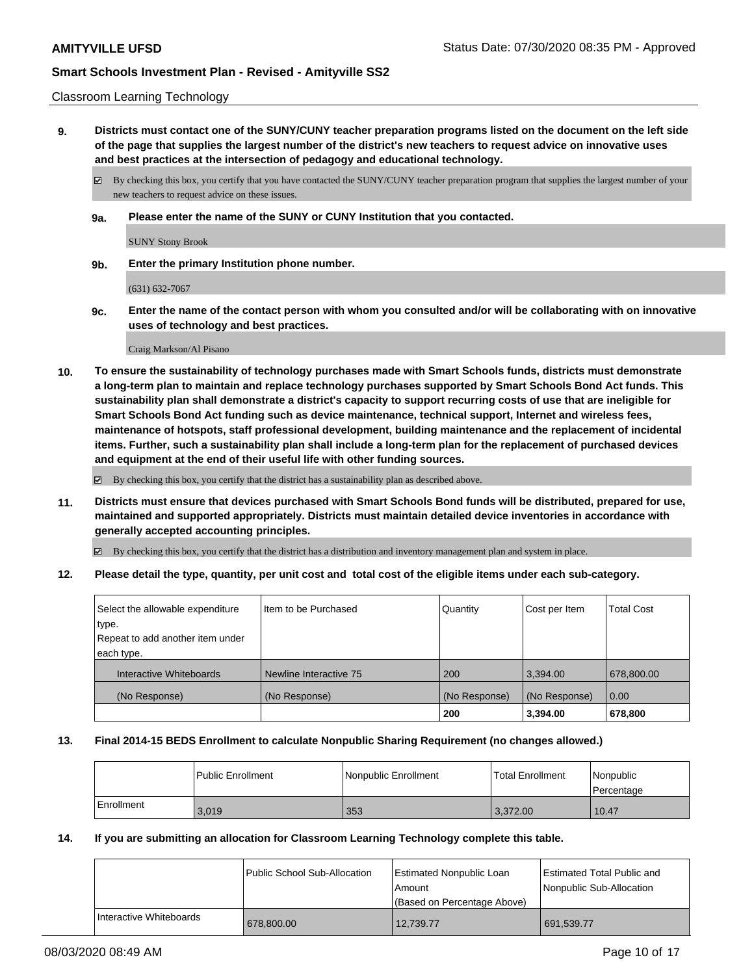#### Classroom Learning Technology

**9. Districts must contact one of the SUNY/CUNY teacher preparation programs listed on the document on the left side of the page that supplies the largest number of the district's new teachers to request advice on innovative uses and best practices at the intersection of pedagogy and educational technology.**

By checking this box, you certify that you have contacted the SUNY/CUNY teacher preparation program that supplies the largest number of your new teachers to request advice on these issues.

**9a. Please enter the name of the SUNY or CUNY Institution that you contacted.**

SUNY Stony Brook

**9b. Enter the primary Institution phone number.**

(631) 632-7067

**9c. Enter the name of the contact person with whom you consulted and/or will be collaborating with on innovative uses of technology and best practices.**

Craig Markson/Al Pisano

**10. To ensure the sustainability of technology purchases made with Smart Schools funds, districts must demonstrate a long-term plan to maintain and replace technology purchases supported by Smart Schools Bond Act funds. This sustainability plan shall demonstrate a district's capacity to support recurring costs of use that are ineligible for Smart Schools Bond Act funding such as device maintenance, technical support, Internet and wireless fees, maintenance of hotspots, staff professional development, building maintenance and the replacement of incidental items. Further, such a sustainability plan shall include a long-term plan for the replacement of purchased devices and equipment at the end of their useful life with other funding sources.**

By checking this box, you certify that the district has a sustainability plan as described above.

**11. Districts must ensure that devices purchased with Smart Schools Bond funds will be distributed, prepared for use, maintained and supported appropriately. Districts must maintain detailed device inventories in accordance with generally accepted accounting principles.**

By checking this box, you certify that the district has a distribution and inventory management plan and system in place.

**12. Please detail the type, quantity, per unit cost and total cost of the eligible items under each sub-category.**

| Select the allowable expenditure<br>type.<br>Repeat to add another item under | Iltem to be Purchased  | Quantity      | Cost per Item | <b>Total Cost</b> |
|-------------------------------------------------------------------------------|------------------------|---------------|---------------|-------------------|
| each type.                                                                    |                        |               |               |                   |
| Interactive Whiteboards                                                       | Newline Interactive 75 | 200           | 3.394.00      | 678,800.00        |
| (No Response)                                                                 | (No Response)          | (No Response) | (No Response) | 0.00              |
|                                                                               |                        | 200           | 3,394.00      | 678,800           |

#### **13. Final 2014-15 BEDS Enrollment to calculate Nonpublic Sharing Requirement (no changes allowed.)**

|            | l Public Enrollment | Nonpublic Enrollment | <b>Total Enrollment</b> | Nonpublic<br>l Percentage |
|------------|---------------------|----------------------|-------------------------|---------------------------|
| Enrollment | 3.019               | 353                  | 3.372.00                | 10.47                     |

#### **14. If you are submitting an allocation for Classroom Learning Technology complete this table.**

|                         | Public School Sub-Allocation | Estimated Nonpublic Loan<br>l Amount<br>(Based on Percentage Above) | <b>Estimated Total Public and</b><br>Nonpublic Sub-Allocation |
|-------------------------|------------------------------|---------------------------------------------------------------------|---------------------------------------------------------------|
| Interactive Whiteboards | 678,800.00                   | 12.739.77                                                           | 691,539.77                                                    |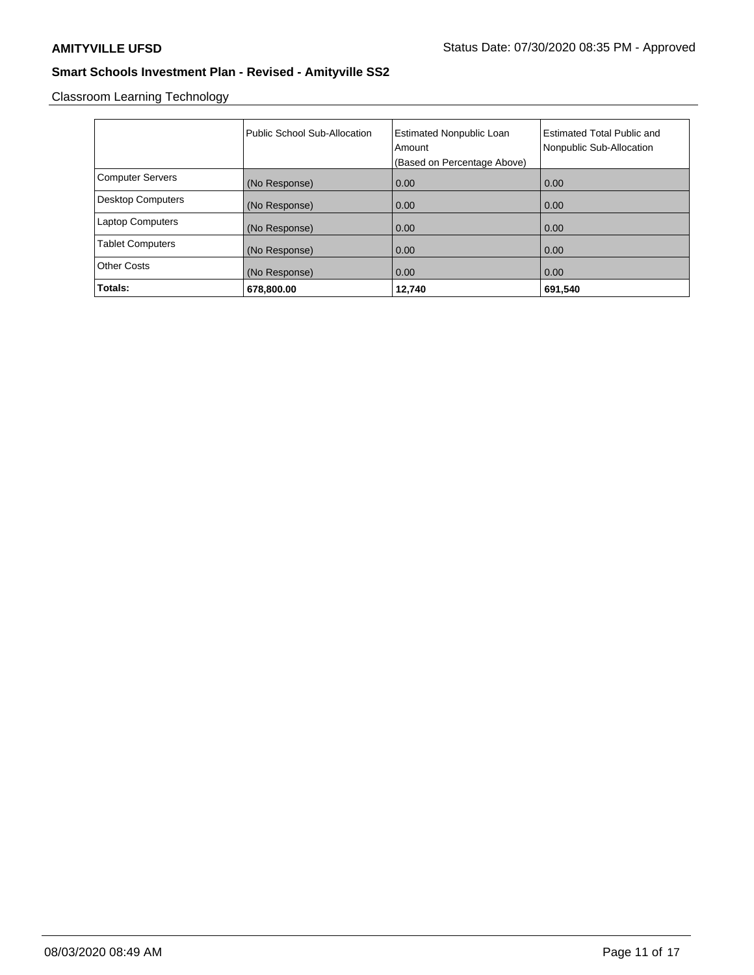Classroom Learning Technology

|                          | Public School Sub-Allocation | <b>Estimated Nonpublic Loan</b><br>Amount<br>(Based on Percentage Above) | <b>Estimated Total Public and</b><br>Nonpublic Sub-Allocation |
|--------------------------|------------------------------|--------------------------------------------------------------------------|---------------------------------------------------------------|
| <b>Computer Servers</b>  | (No Response)                | 0.00                                                                     | 0.00                                                          |
| <b>Desktop Computers</b> | (No Response)                | 0.00                                                                     | 0.00                                                          |
| <b>Laptop Computers</b>  | (No Response)                | 0.00                                                                     | 0.00                                                          |
| <b>Tablet Computers</b>  | (No Response)                | 0.00                                                                     | 0.00                                                          |
| <b>Other Costs</b>       | (No Response)                | 0.00                                                                     | 0.00                                                          |
| Totals:                  | 678,800.00                   | 12,740                                                                   | 691,540                                                       |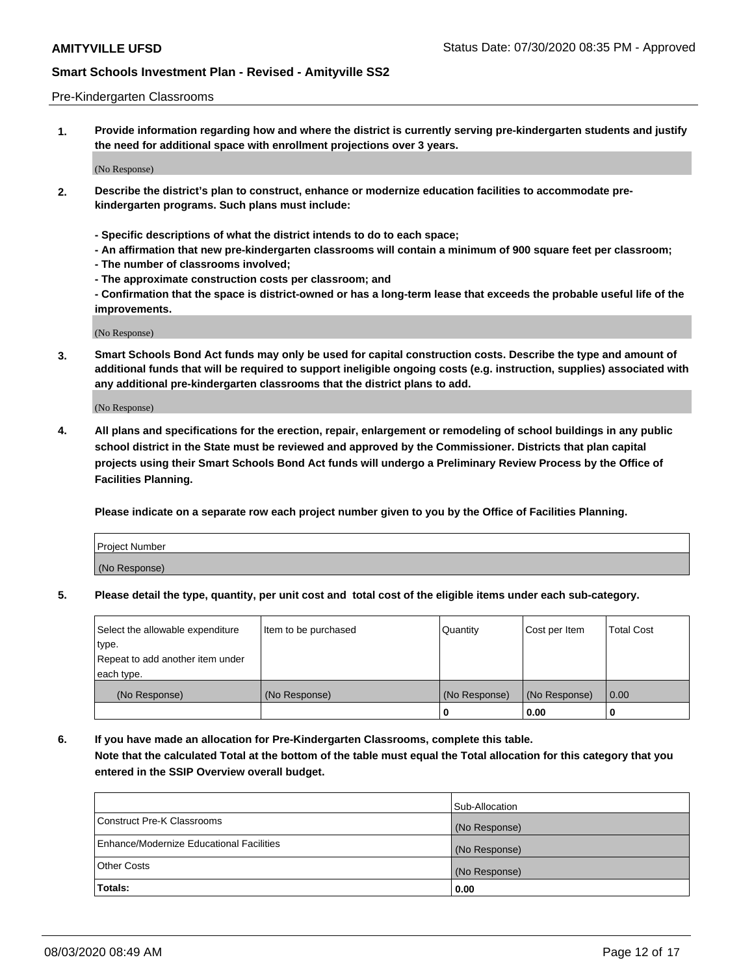#### Pre-Kindergarten Classrooms

**1. Provide information regarding how and where the district is currently serving pre-kindergarten students and justify the need for additional space with enrollment projections over 3 years.**

(No Response)

- **2. Describe the district's plan to construct, enhance or modernize education facilities to accommodate prekindergarten programs. Such plans must include:**
	- **Specific descriptions of what the district intends to do to each space;**
	- **An affirmation that new pre-kindergarten classrooms will contain a minimum of 900 square feet per classroom;**
	- **The number of classrooms involved;**
	- **The approximate construction costs per classroom; and**
	- **Confirmation that the space is district-owned or has a long-term lease that exceeds the probable useful life of the improvements.**

(No Response)

**3. Smart Schools Bond Act funds may only be used for capital construction costs. Describe the type and amount of additional funds that will be required to support ineligible ongoing costs (e.g. instruction, supplies) associated with any additional pre-kindergarten classrooms that the district plans to add.**

(No Response)

**4. All plans and specifications for the erection, repair, enlargement or remodeling of school buildings in any public school district in the State must be reviewed and approved by the Commissioner. Districts that plan capital projects using their Smart Schools Bond Act funds will undergo a Preliminary Review Process by the Office of Facilities Planning.**

**Please indicate on a separate row each project number given to you by the Office of Facilities Planning.**

| Project Number |  |
|----------------|--|
| (No Response)  |  |
|                |  |

**5. Please detail the type, quantity, per unit cost and total cost of the eligible items under each sub-category.**

| Select the allowable expenditure | Item to be purchased | Quantity      | Cost per Item | <b>Total Cost</b> |
|----------------------------------|----------------------|---------------|---------------|-------------------|
| type.                            |                      |               |               |                   |
| Repeat to add another item under |                      |               |               |                   |
| each type.                       |                      |               |               |                   |
| (No Response)                    | (No Response)        | (No Response) | (No Response) | 0.00              |
|                                  |                      | U             | 0.00          |                   |

**6. If you have made an allocation for Pre-Kindergarten Classrooms, complete this table. Note that the calculated Total at the bottom of the table must equal the Total allocation for this category that you entered in the SSIP Overview overall budget.**

| Totals:                                  | 0.00           |
|------------------------------------------|----------------|
| <b>Other Costs</b>                       | (No Response)  |
| Enhance/Modernize Educational Facilities | (No Response)  |
| Construct Pre-K Classrooms               | (No Response)  |
|                                          | Sub-Allocation |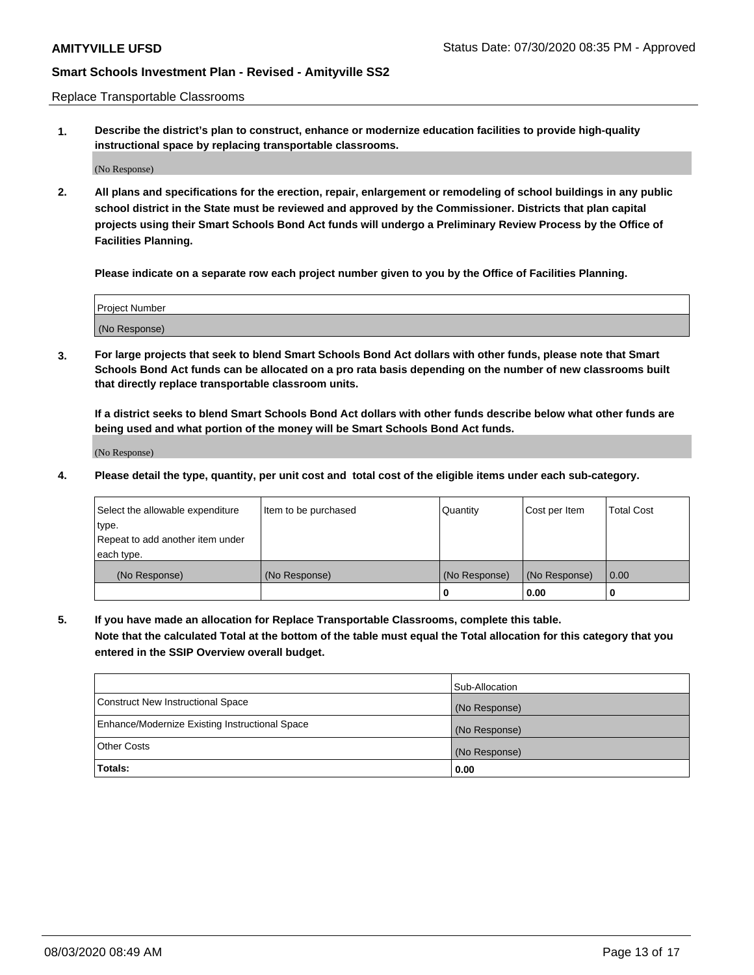Replace Transportable Classrooms

**1. Describe the district's plan to construct, enhance or modernize education facilities to provide high-quality instructional space by replacing transportable classrooms.**

(No Response)

**2. All plans and specifications for the erection, repair, enlargement or remodeling of school buildings in any public school district in the State must be reviewed and approved by the Commissioner. Districts that plan capital projects using their Smart Schools Bond Act funds will undergo a Preliminary Review Process by the Office of Facilities Planning.**

**Please indicate on a separate row each project number given to you by the Office of Facilities Planning.**

| Project Number |  |
|----------------|--|
|                |  |
|                |  |
|                |  |
| (No Response)  |  |
|                |  |
|                |  |

**3. For large projects that seek to blend Smart Schools Bond Act dollars with other funds, please note that Smart Schools Bond Act funds can be allocated on a pro rata basis depending on the number of new classrooms built that directly replace transportable classroom units.**

**If a district seeks to blend Smart Schools Bond Act dollars with other funds describe below what other funds are being used and what portion of the money will be Smart Schools Bond Act funds.**

(No Response)

**4. Please detail the type, quantity, per unit cost and total cost of the eligible items under each sub-category.**

| Select the allowable expenditure | Item to be purchased | Quantity      | Cost per Item | <b>Total Cost</b> |
|----------------------------------|----------------------|---------------|---------------|-------------------|
| ∣type.                           |                      |               |               |                   |
| Repeat to add another item under |                      |               |               |                   |
| each type.                       |                      |               |               |                   |
| (No Response)                    | (No Response)        | (No Response) | (No Response) | 0.00              |
|                                  |                      | 0             | 0.00          |                   |

**5. If you have made an allocation for Replace Transportable Classrooms, complete this table. Note that the calculated Total at the bottom of the table must equal the Total allocation for this category that you entered in the SSIP Overview overall budget.**

|                                                | Sub-Allocation |
|------------------------------------------------|----------------|
| Construct New Instructional Space              | (No Response)  |
| Enhance/Modernize Existing Instructional Space | (No Response)  |
| Other Costs                                    | (No Response)  |
| Totals:                                        | 0.00           |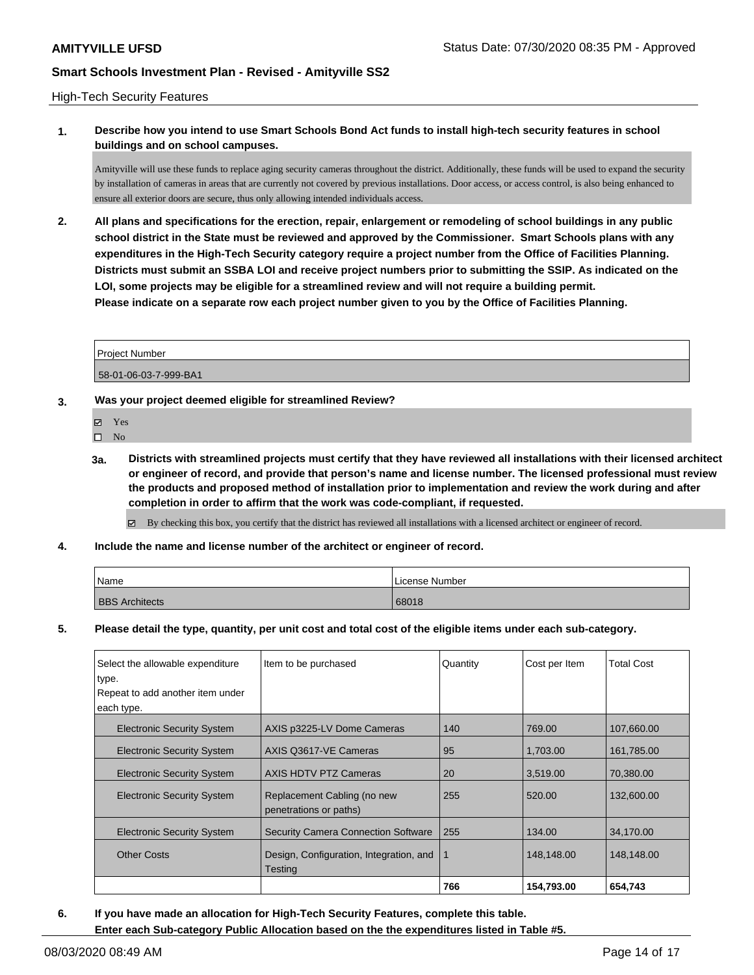### High-Tech Security Features

# **1. Describe how you intend to use Smart Schools Bond Act funds to install high-tech security features in school buildings and on school campuses.**

Amityville will use these funds to replace aging security cameras throughout the district. Additionally, these funds will be used to expand the security by installation of cameras in areas that are currently not covered by previous installations. Door access, or access control, is also being enhanced to ensure all exterior doors are secure, thus only allowing intended individuals access.

**2. All plans and specifications for the erection, repair, enlargement or remodeling of school buildings in any public school district in the State must be reviewed and approved by the Commissioner. Smart Schools plans with any expenditures in the High-Tech Security category require a project number from the Office of Facilities Planning. Districts must submit an SSBA LOI and receive project numbers prior to submitting the SSIP. As indicated on the LOI, some projects may be eligible for a streamlined review and will not require a building permit. Please indicate on a separate row each project number given to you by the Office of Facilities Planning.**

| <b>Project Number</b> |  |
|-----------------------|--|
| 58-01-06-03-7-999-BA1 |  |

### **3. Was your project deemed eligible for streamlined Review?**

- Yes
- $\square$  No
- **3a. Districts with streamlined projects must certify that they have reviewed all installations with their licensed architect or engineer of record, and provide that person's name and license number. The licensed professional must review the products and proposed method of installation prior to implementation and review the work during and after completion in order to affirm that the work was code-compliant, if requested.**
	- By checking this box, you certify that the district has reviewed all installations with a licensed architect or engineer of record.
- **4. Include the name and license number of the architect or engineer of record.**

| Name                  | License Number |
|-----------------------|----------------|
| <b>BBS</b> Architects | 68018          |

**5. Please detail the type, quantity, per unit cost and total cost of the eligible items under each sub-category.**

| Select the allowable expenditure          | Item to be purchased<br>Quantity                      |     | Cost per Item | <b>Total Cost</b> |
|-------------------------------------------|-------------------------------------------------------|-----|---------------|-------------------|
| type.<br>Repeat to add another item under |                                                       |     |               |                   |
| each type.                                |                                                       |     |               |                   |
| <b>Electronic Security System</b>         | AXIS p3225-LV Dome Cameras                            | 140 | 769.00        | 107.660.00        |
| <b>Electronic Security System</b>         | AXIS Q3617-VE Cameras                                 | 95  | 1,703.00      | 161,785.00        |
| <b>Electronic Security System</b>         | AXIS HDTV PTZ Cameras                                 | 20  | 3,519.00      | 70.380.00         |
| <b>Electronic Security System</b>         | Replacement Cabling (no new<br>penetrations or paths) | 255 | 520.00        | 132.600.00        |
| <b>Electronic Security System</b>         | <b>Security Camera Connection Software</b>            | 255 | 134.00        | 34,170.00         |
| <b>Other Costs</b>                        | Design, Configuration, Integration, and<br>Testing    |     | 148,148.00    | 148,148.00        |
|                                           |                                                       | 766 | 154,793.00    | 654,743           |

**6. If you have made an allocation for High-Tech Security Features, complete this table.**

**Enter each Sub-category Public Allocation based on the the expenditures listed in Table #5.**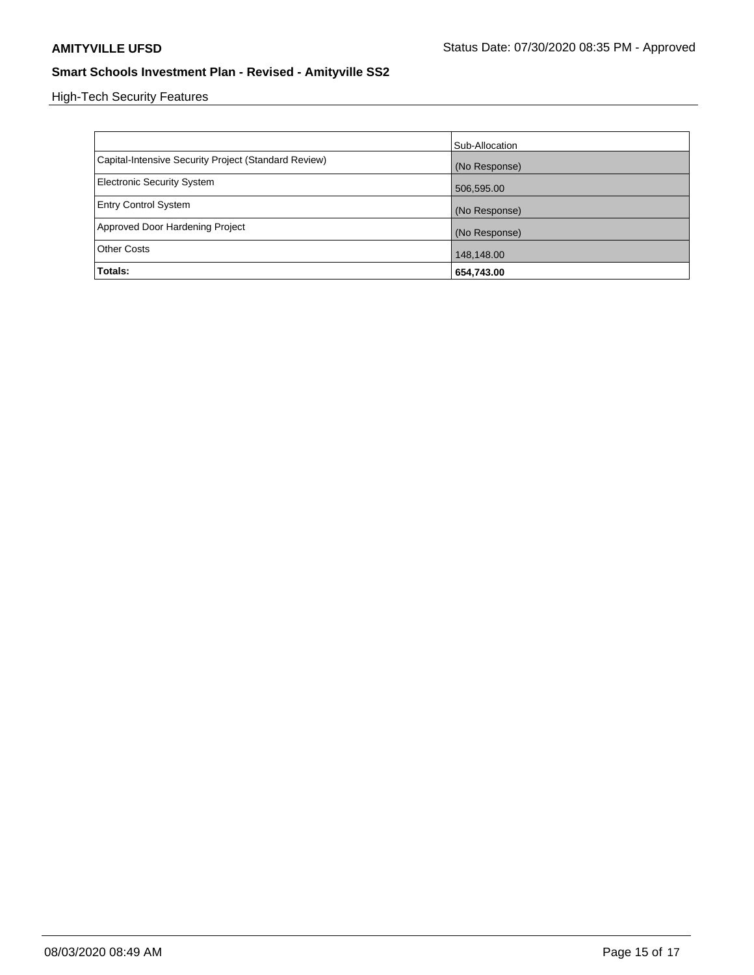High-Tech Security Features

|                                                      | Sub-Allocation |
|------------------------------------------------------|----------------|
| Capital-Intensive Security Project (Standard Review) | (No Response)  |
| <b>Electronic Security System</b>                    | 506,595.00     |
| <b>Entry Control System</b>                          | (No Response)  |
| Approved Door Hardening Project                      | (No Response)  |
| <b>Other Costs</b>                                   | 148,148.00     |
| Totals:                                              | 654,743.00     |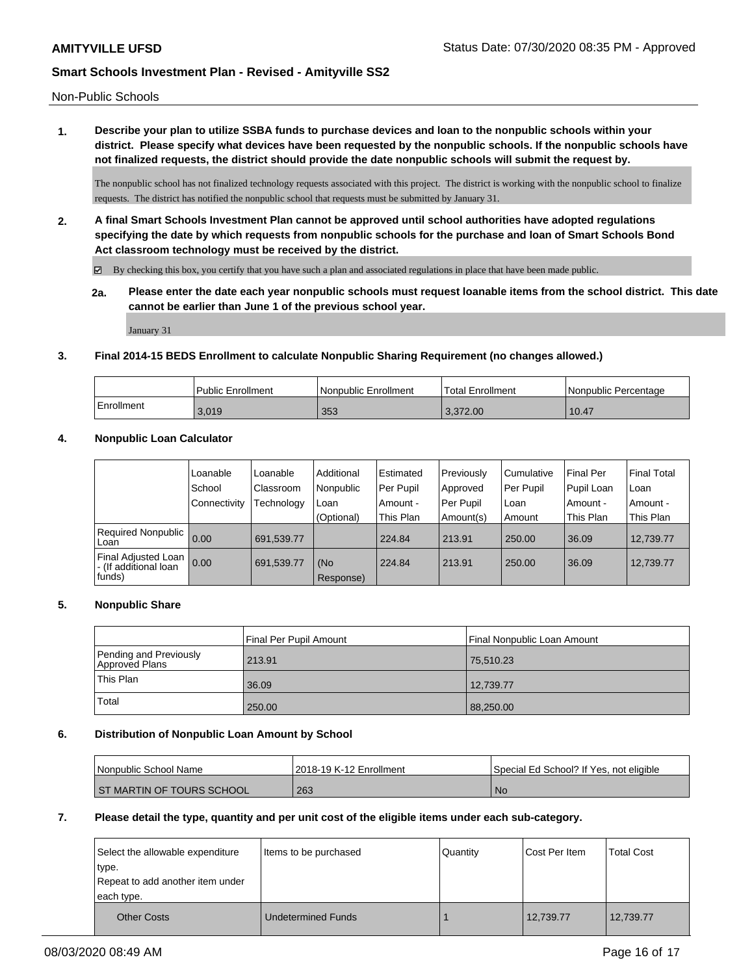Non-Public Schools

**1. Describe your plan to utilize SSBA funds to purchase devices and loan to the nonpublic schools within your district. Please specify what devices have been requested by the nonpublic schools. If the nonpublic schools have not finalized requests, the district should provide the date nonpublic schools will submit the request by.**

The nonpublic school has not finalized technology requests associated with this project. The district is working with the nonpublic school to finalize requests. The district has notified the nonpublic school that requests must be submitted by January 31.

**2. A final Smart Schools Investment Plan cannot be approved until school authorities have adopted regulations specifying the date by which requests from nonpublic schools for the purchase and loan of Smart Schools Bond Act classroom technology must be received by the district.**

 $\boxtimes$  By checking this box, you certify that you have such a plan and associated regulations in place that have been made public.

**2a. Please enter the date each year nonpublic schools must request loanable items from the school district. This date cannot be earlier than June 1 of the previous school year.**

January 31

### **3. Final 2014-15 BEDS Enrollment to calculate Nonpublic Sharing Requirement (no changes allowed.)**

|            | <b>Public Enrollment</b> | Nonpublic Enrollment | 'Total Enrollment | l Nonpublic Percentage |
|------------|--------------------------|----------------------|-------------------|------------------------|
| Enrollment | 3.019                    | 353                  | 3.372.00          | 10.47                  |

### **4. Nonpublic Loan Calculator**

|                                                          | Loanable     | Loanable   | Additional       | Estimated | Previously | l Cumulative | <b>Final Per</b> | Final Total |
|----------------------------------------------------------|--------------|------------|------------------|-----------|------------|--------------|------------------|-------------|
|                                                          | School       | Classroom  | Nonpublic        | Per Pupil | Approved   | Per Pupil    | Pupil Loan       | ⊺Loan       |
|                                                          | Connectivity | Technology | Loan             | Amount -  | Per Pupil  | Loan         | Amount -         | Amount -    |
|                                                          |              |            | (Optional)       | This Plan | Amount(s)  | Amount       | This Plan        | This Plan   |
| <b>Required Nonpublic</b><br>Loan                        | 0.00         | 691,539.77 |                  | 224.84    | 213.91     | 250.00       | 36.09            | 12.739.77   |
| Final Adjusted Loan<br>I - (If additional loan<br>funds) | 0.00         | 691,539.77 | (No<br>Response) | 224.84    | 213.91     | 250.00       | 36.09            | 12,739.77   |

#### **5. Nonpublic Share**

|                                          | Final Per Pupil Amount | l Final Nonpublic Loan Amount |
|------------------------------------------|------------------------|-------------------------------|
| Pending and Previously<br>Approved Plans | 213.91                 | 75,510.23                     |
| This Plan                                | 36.09                  | 12,739.77                     |
| Total                                    | 250.00                 | 88,250.00                     |

#### **6. Distribution of Nonpublic Loan Amount by School**

| l Nonpublic School Name     | 2018-19 K-12 Enrollment | Special Ed School? If Yes, not eligible |
|-----------------------------|-------------------------|-----------------------------------------|
| I ST MARTIN OF TOURS SCHOOL | 263                     | ' No                                    |

#### **7. Please detail the type, quantity and per unit cost of the eligible items under each sub-category.**

| Select the allowable expenditure<br>type.      | Items to be purchased     | Quantity | Cost Per Item | <b>Total Cost</b> |
|------------------------------------------------|---------------------------|----------|---------------|-------------------|
| Repeat to add another item under<br>each type. |                           |          |               |                   |
| <b>Other Costs</b>                             | <b>Undetermined Funds</b> |          | 12,739.77     | 12,739.77         |